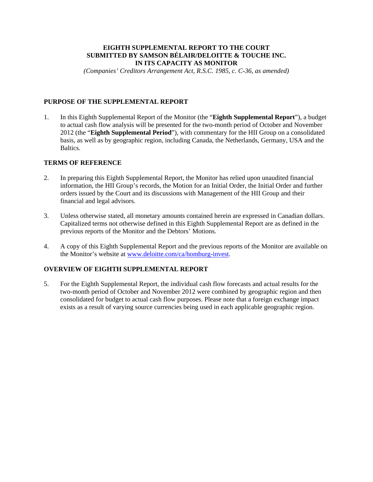# **EIGHTH SUPPLEMENTAL REPORT TO THE COURT SUBMITTED BY SAMSON BÉLAIR/DELOITTE & TOUCHE INC. IN ITS CAPACITY AS MONITOR**

*(Companies' Creditors Arrangement Act, R.S.C. 1985, c. C-36, as amended)* 

# **PURPOSE OF THE SUPPLEMENTAL REPORT**

1. In this Eighth Supplemental Report of the Monitor (the "**Eighth Supplemental Report**"), a budget to actual cash flow analysis will be presented for the two-month period of October and November 2012 (the "**Eighth Supplemental Period**"), with commentary for the HII Group on a consolidated basis, as well as by geographic region, including Canada, the Netherlands, Germany, USA and the Baltics.

# **TERMS OF REFERENCE**

- 2. In preparing this Eighth Supplemental Report, the Monitor has relied upon unaudited financial information, the HII Group's records, the Motion for an Initial Order, the Initial Order and further orders issued by the Court and its discussions with Management of the HII Group and their financial and legal advisors.
- 3. Unless otherwise stated, all monetary amounts contained herein are expressed in Canadian dollars. Capitalized terms not otherwise defined in this Eighth Supplemental Report are as defined in the previous reports of the Monitor and the Debtors' Motions.
- 4. A copy of this Eighth Supplemental Report and the previous reports of the Monitor are available on the Monitor's website at www.deloitte.com/ca/homburg-invest.

# **OVERVIEW OF EIGHTH SUPPLEMENTAL REPORT**

5. For the Eighth Supplemental Report, the individual cash flow forecasts and actual results for the two-month period of October and November 2012 were combined by geographic region and then consolidated for budget to actual cash flow purposes. Please note that a foreign exchange impact exists as a result of varying source currencies being used in each applicable geographic region.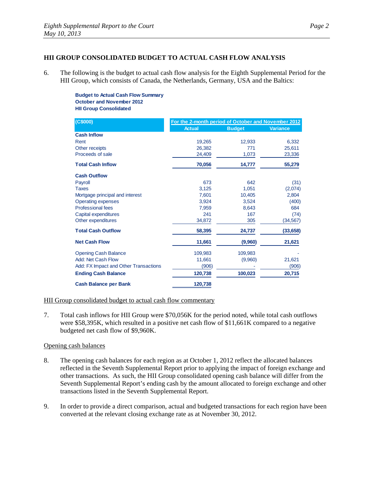# **HII GROUP CONSOLIDATED BUDGET TO ACTUAL CASH FLOW ANALYSIS**

6. The following is the budget to actual cash flow analysis for the Eighth Supplemental Period for the HII Group, which consists of Canada, the Netherlands, Germany, USA and the Baltics:

> **Budget to Actual Cash Flow Summary October and November 2012 HII Group Consolidated**

| (C\$000)                              | For the 2-month period of October and November 2012 |               |                 |
|---------------------------------------|-----------------------------------------------------|---------------|-----------------|
|                                       | <b>Actual</b>                                       | <b>Budget</b> | <b>Variance</b> |
| <b>Cash Inflow</b>                    |                                                     |               |                 |
| Rent                                  | 19,265                                              | 12,933        | 6,332           |
| Other receipts                        | 26,382                                              | 771           | 25,611          |
| Proceeds of sale                      | 24,409                                              | 1,073         | 23,336          |
| <b>Total Cash Inflow</b>              | 70,056                                              | 14,777        | 55,279          |
| <b>Cash Outflow</b>                   |                                                     |               |                 |
| Payroll                               | 673                                                 | 642           | (31)            |
| <b>Taxes</b>                          | 3,125                                               | 1,051         | (2,074)         |
| Mortgage principal and interest       | 7,601                                               | 10,405        | 2,804           |
| <b>Operating expenses</b>             | 3,924                                               | 3,524         | (400)           |
| Professional fees                     | 7,959                                               | 8,643         | 684             |
| Capital expenditures                  | 241                                                 | 167           | (74)            |
| Other expenditures                    | 34,872                                              | 305           | (34,567)        |
| <b>Total Cash Outflow</b>             | 58,395                                              | 24,737        | (33, 658)       |
| <b>Net Cash Flow</b>                  | 11,661                                              | (9,960)       | 21,621          |
| <b>Opening Cash Balance</b>           | 109,983                                             | 109,983       |                 |
| Add: Net Cash Flow                    | 11,661                                              | (9,960)       | 21,621          |
| Add: FX Impact and Other Transactions | (906)                                               |               | (906)           |
| <b>Ending Cash Balance</b>            | 120,738                                             | 100,023       | 20,715          |
| <b>Cash Balance per Bank</b>          | 120,738                                             |               |                 |

# HII Group consolidated budget to actual cash flow commentary

7. Total cash inflows for HII Group were \$70,056K for the period noted, while total cash outflows were \$58,395K, which resulted in a positive net cash flow of \$11,661K compared to a negative budgeted net cash flow of \$9,960K.

### Opening cash balances

- 8. The opening cash balances for each region as at October 1, 2012 reflect the allocated balances reflected in the Seventh Supplemental Report prior to applying the impact of foreign exchange and other transactions. As such, the HII Group consolidated opening cash balance will differ from the Seventh Supplemental Report's ending cash by the amount allocated to foreign exchange and other transactions listed in the Seventh Supplemental Report.
- 9. In order to provide a direct comparison, actual and budgeted transactions for each region have been converted at the relevant closing exchange rate as at November 30, 2012.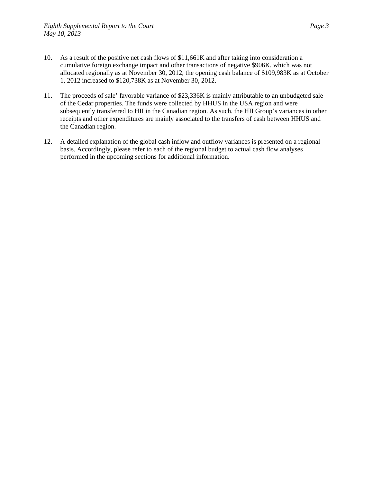- 10. As a result of the positive net cash flows of \$11,661K and after taking into consideration a cumulative foreign exchange impact and other transactions of negative \$906K, which was not allocated regionally as at November 30, 2012, the opening cash balance of \$109,983K as at October 1, 2012 increased to \$120,738K as at November 30, 2012.
- 11. The proceeds of sale' favorable variance of \$23,336K is mainly attributable to an unbudgeted sale of the Cedar properties. The funds were collected by HHUS in the USA region and were subsequently transferred to HII in the Canadian region. As such, the HII Group's variances in other receipts and other expenditures are mainly associated to the transfers of cash between HHUS and the Canadian region.
- 12. A detailed explanation of the global cash inflow and outflow variances is presented on a regional basis. Accordingly, please refer to each of the regional budget to actual cash flow analyses performed in the upcoming sections for additional information.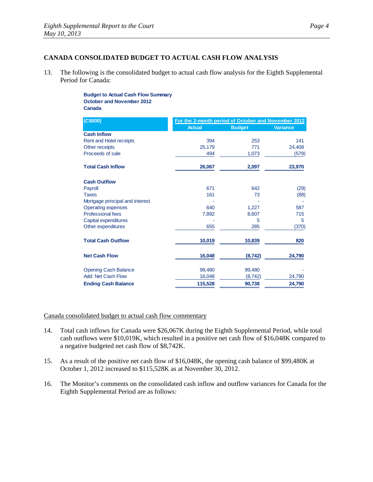# **CANADA CONSOLIDATED BUDGET TO ACTUAL CASH FLOW ANALYSIS**

13. The following is the consolidated budget to actual cash flow analysis for the Eighth Supplemental Period for Canada:

> **Budget to Actual Cash Flow Summary October and November 2012 Canada**

| (C\$000)                        | For the 2-month period of October and November 2012 |               |                 |
|---------------------------------|-----------------------------------------------------|---------------|-----------------|
|                                 | <b>Actual</b>                                       | <b>Budget</b> | <b>Variance</b> |
| <b>Cash Inflow</b>              |                                                     |               |                 |
| Rent and Hotel receipts         | 394                                                 | 253           | 141             |
| Other receipts                  | 25,179                                              | 771           | 24,408          |
| Proceeds of sale                | 494                                                 | 1,073         | (579)           |
| <b>Total Cash Inflow</b>        | 26,067                                              | 2,097         | 23,970          |
| <b>Cash Outflow</b>             |                                                     |               |                 |
| Payroll                         | 671                                                 | 642           | (29)            |
| <b>Taxes</b>                    | 161                                                 | 73            | (88)            |
| Mortgage principal and interest |                                                     |               |                 |
| <b>Operating expenses</b>       | 640                                                 | 1,227         | 587             |
| <b>Professional fees</b>        | 7,892                                               | 8,607         | 715             |
| Capital expenditures            |                                                     | 5             | 5               |
| Other expenditures              | 655                                                 | 285           | (370)           |
| <b>Total Cash Outflow</b>       | 10,019                                              | 10,839        | 820             |
| <b>Net Cash Flow</b>            | 16,048                                              | (8, 742)      | 24,790          |
| <b>Opening Cash Balance</b>     | 99,480                                              | 99,480        |                 |
| Add: Net Cash Flow              | 16,048                                              | (8, 742)      | 24,790          |
| <b>Ending Cash Balance</b>      | 115,528                                             | 90,738        | 24,790          |

### Canada consolidated budget to actual cash flow commentary

- 14. Total cash inflows for Canada were \$26,067K during the Eighth Supplemental Period, while total cash outflows were \$10,019K, which resulted in a positive net cash flow of \$16,048K compared to a negative budgeted net cash flow of \$8,742K.
- 15. As a result of the positive net cash flow of \$16,048K, the opening cash balance of \$99,480K at October 1, 2012 increased to \$115,528K as at November 30, 2012.
- 16. The Monitor's comments on the consolidated cash inflow and outflow variances for Canada for the Eighth Supplemental Period are as follows: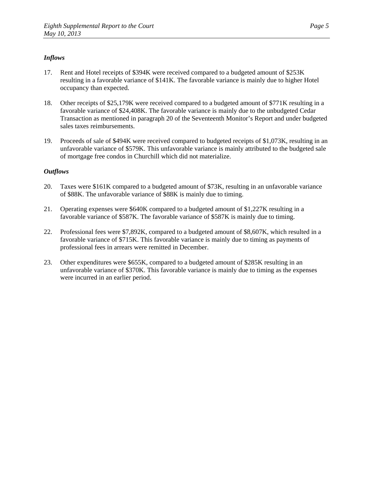# *Inflows*

- 17. Rent and Hotel receipts of \$394K were received compared to a budgeted amount of \$253K resulting in a favorable variance of \$141K. The favorable variance is mainly due to higher Hotel occupancy than expected.
- 18. Other receipts of \$25,179K were received compared to a budgeted amount of \$771K resulting in a favorable variance of \$24,408K. The favorable variance is mainly due to the unbudgeted Cedar Transaction as mentioned in paragraph 20 of the Seventeenth Monitor's Report and under budgeted sales taxes reimbursements.
- 19. Proceeds of sale of \$494K were received compared to budgeted receipts of \$1,073K, resulting in an unfavorable variance of \$579K. This unfavorable variance is mainly attributed to the budgeted sale of mortgage free condos in Churchill which did not materialize.

- 20. Taxes were \$161K compared to a budgeted amount of \$73K, resulting in an unfavorable variance of \$88K. The unfavorable variance of \$88K is mainly due to timing.
- 21. Operating expenses were \$640K compared to a budgeted amount of \$1,227K resulting in a favorable variance of \$587K. The favorable variance of \$587K is mainly due to timing.
- 22. Professional fees were \$7,892K, compared to a budgeted amount of \$8,607K, which resulted in a favorable variance of \$715K. This favorable variance is mainly due to timing as payments of professional fees in arrears were remitted in December.
- 23. Other expenditures were \$655K, compared to a budgeted amount of \$285K resulting in an unfavorable variance of \$370K. This favorable variance is mainly due to timing as the expenses were incurred in an earlier period.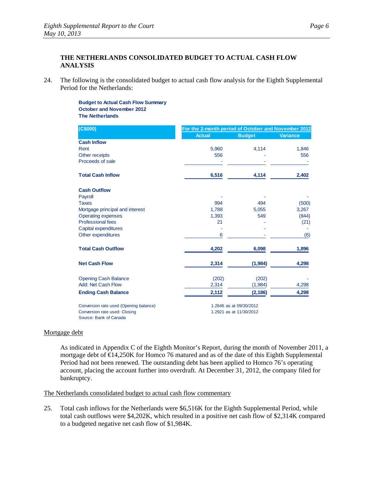# **THE NETHERLANDS CONSOLIDATED BUDGET TO ACTUAL CASH FLOW ANALYSIS**

24. The following is the consolidated budget to actual cash flow analysis for the Eighth Supplemental Period for the Netherlands:

> **Budget to Actual Cash Flow Summary October and November 2012 The Netherlands**

| (C\$000)                               |               | For the 2-month period of October and November 2012 |                 |  |
|----------------------------------------|---------------|-----------------------------------------------------|-----------------|--|
|                                        | <b>Actual</b> | <b>Budget</b>                                       | <b>Variance</b> |  |
| <b>Cash Inflow</b>                     |               |                                                     |                 |  |
| Rent                                   | 5,960         | 4,114                                               | 1,846           |  |
| Other receipts                         | 556           |                                                     | 556             |  |
| Proceeds of sale                       |               |                                                     |                 |  |
| <b>Total Cash Inflow</b>               | 6,516         | 4,114                                               | 2,402           |  |
| <b>Cash Outflow</b>                    |               |                                                     |                 |  |
| Payroll                                |               |                                                     |                 |  |
| <b>Taxes</b>                           | 994           | 494                                                 | (500)           |  |
| Mortgage principal and interest        | 1.788         | 5,055                                               | 3,267           |  |
| <b>Operating expenses</b>              | 1,393         | 549                                                 | (844)           |  |
| <b>Professional fees</b>               | 21            |                                                     | (21)            |  |
| Capital expenditures                   |               |                                                     |                 |  |
| Other expenditures                     | 6             |                                                     | (6)             |  |
| <b>Total Cash Outflow</b>              | 4,202         | 6,098                                               | 1,896           |  |
| <b>Net Cash Flow</b>                   | 2,314         | (1,984)                                             | 4,298           |  |
| <b>Opening Cash Balance</b>            | (202)         | (202)                                               |                 |  |
| Add: Net Cash Flow                     | 2,314         | (1,984)                                             | 4,298           |  |
| <b>Ending Cash Balance</b>             | 2,112         | (2, 186)                                            | 4,298           |  |
| Conversion rate used (Opening balance) |               | 1.2646 as at 09/30/2012                             |                 |  |
| Conversion rate used: Closing          |               | 1.2921 as at 11/30/2012                             |                 |  |

Source: Bank of Canada

### Mortgage debt

As indicated in Appendix C of the Eighth Monitor's Report, during the month of November 2011, a mortgage debt of €14,250K for Homco 76 matured and as of the date of this Eighth Supplemental Period had not been renewed. The outstanding debt has been applied to Homco 76's operating account, placing the account further into overdraft. At December 31, 2012, the company filed for bankruptcy.

### The Netherlands consolidated budget to actual cash flow commentary

25. Total cash inflows for the Netherlands were \$6,516K for the Eighth Supplemental Period, while total cash outflows were \$4,202K, which resulted in a positive net cash flow of \$2,314K compared to a budgeted negative net cash flow of \$1,984K.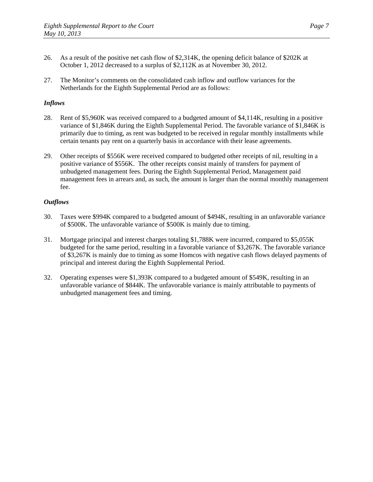- 26. As a result of the positive net cash flow of \$2,314K, the opening deficit balance of \$202K at October 1, 2012 decreased to a surplus of \$2,112K as at November 30, 2012.
- 27. The Monitor's comments on the consolidated cash inflow and outflow variances for the Netherlands for the Eighth Supplemental Period are as follows:

# *Inflows*

- 28. Rent of \$5,960K was received compared to a budgeted amount of \$4,114K, resulting in a positive variance of \$1,846K during the Eighth Supplemental Period. The favorable variance of \$1,846K is primarily due to timing, as rent was budgeted to be received in regular monthly installments while certain tenants pay rent on a quarterly basis in accordance with their lease agreements.
- 29. Other receipts of \$556K were received compared to budgeted other receipts of nil, resulting in a positive variance of \$556K. The other receipts consist mainly of transfers for payment of unbudgeted management fees. During the Eighth Supplemental Period, Management paid management fees in arrears and, as such, the amount is larger than the normal monthly management fee.

- 30. Taxes were \$994K compared to a budgeted amount of \$494K, resulting in an unfavorable variance of \$500K. The unfavorable variance of \$500K is mainly due to timing.
- 31. Mortgage principal and interest charges totaling \$1,788K were incurred, compared to \$5,055K budgeted for the same period, resulting in a favorable variance of \$3,267K. The favorable variance of \$3,267K is mainly due to timing as some Homcos with negative cash flows delayed payments of principal and interest during the Eighth Supplemental Period.
- 32. Operating expenses were \$1,393K compared to a budgeted amount of \$549K, resulting in an unfavorable variance of \$844K. The unfavorable variance is mainly attributable to payments of unbudgeted management fees and timing.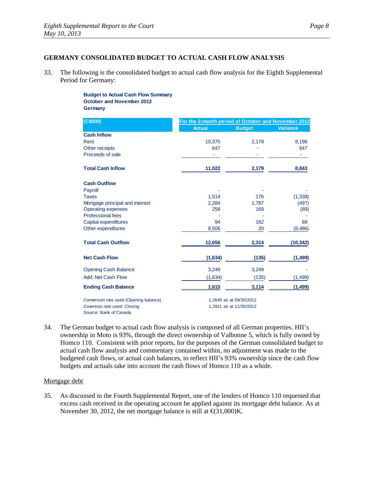# **GERMANY CONSOLIDATED BUDGET TO ACTUAL CASH FLOW ANALYSIS**

33. The following is the consolidated budget to actual cash flow analysis for the Eighth Supplemental Period for Germany:

> **Budget to Actual Cash Flow Summary October and November 2012 Germany**

| (C\$000)                               | For the 2-month period of October and November 2012 |                         |                 |
|----------------------------------------|-----------------------------------------------------|-------------------------|-----------------|
|                                        | <b>Actual</b>                                       | <b>Budget</b>           | <b>Variance</b> |
| <b>Cash Inflow</b>                     |                                                     |                         |                 |
| Rent                                   | 10,375                                              | 2,179                   | 8,196           |
| Other receipts                         | 647                                                 |                         | 647             |
| Proceeds of sale                       |                                                     |                         |                 |
| <b>Total Cash Inflow</b>               | 11,022                                              | 2,179                   | 8,843           |
| <b>Cash Outflow</b>                    |                                                     |                         |                 |
| Payroll                                |                                                     |                         |                 |
| <b>Taxes</b>                           | 1.514                                               | 176                     | (1, 338)        |
| Mortgage principal and interest        | 2,284                                               | 1,787                   | (497)           |
| <b>Operating expenses</b>              | 258                                                 | 169                     | (89)            |
| <b>Professional fees</b>               |                                                     |                         |                 |
| Capital expenditures                   | 94                                                  | 162                     | 68              |
| Other expenditures                     | 8,506                                               | 20                      | (8,486)         |
| <b>Total Cash Outflow</b>              | 12,656                                              | 2,314                   | (10, 342)       |
| <b>Net Cash Flow</b>                   | (1,634)                                             | (135)                   | (1, 499)        |
| <b>Opening Cash Balance</b>            | 3,249                                               | 3,249                   |                 |
| Add: Net Cash Flow                     | (1,634)                                             | (135)                   | (1,499)         |
| <b>Ending Cash Balance</b>             | 1,615                                               | 3,114                   | (1, 499)        |
| Conversion rate used (Opening balance) | 1.2646 as at 09/30/2012                             |                         |                 |
| Coversion rate used: Closing           |                                                     | 1.2921 as at 11/30/2012 |                 |
| Source: Bank of Canada                 |                                                     |                         |                 |

34. The German budget to actual cash flow analysis is composed of all German properties. HII's ownership in Moto is 93%, through the direct ownership of Valbonne 5, which is fully owned by Homco 110. Consistent with prior reports, for the purposes of the German consolidated budget to actual cash flow analysis and commentary contained within, no adjustment was made to the budgeted cash flows, or actual cash balances, to reflect HII's 93% ownership since the cash flow budgets and actuals take into account the cash flows of Homco 110 as a whole.

### Mortgage debt

35. As discussed in the Fourth Supplemental Report, one of the lenders of Homco 110 requested that excess cash received in the operating account be applied against its mortgage debt balance. As at November 30, 2012, the net mortgage balance is still at  $\text{f}(31,000)$ K.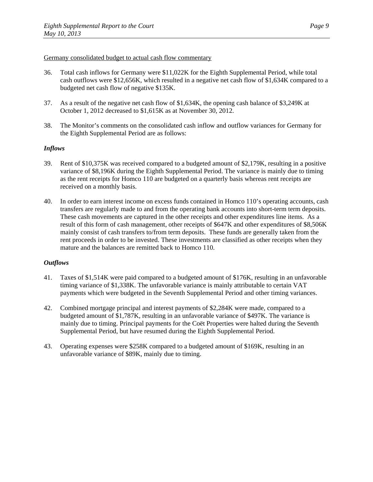### Germany consolidated budget to actual cash flow commentary

- 36. Total cash inflows for Germany were \$11,022K for the Eighth Supplemental Period, while total cash outflows were \$12,656K, which resulted in a negative net cash flow of \$1,634K compared to a budgeted net cash flow of negative \$135K.
- 37. As a result of the negative net cash flow of \$1,634K, the opening cash balance of \$3,249K at October 1, 2012 decreased to \$1,615K as at November 30, 2012.
- 38. The Monitor's comments on the consolidated cash inflow and outflow variances for Germany for the Eighth Supplemental Period are as follows:

# *Inflows*

- 39. Rent of \$10,375K was received compared to a budgeted amount of \$2,179K, resulting in a positive variance of \$8,196K during the Eighth Supplemental Period. The variance is mainly due to timing as the rent receipts for Homco 110 are budgeted on a quarterly basis whereas rent receipts are received on a monthly basis.
- 40. In order to earn interest income on excess funds contained in Homco 110's operating accounts, cash transfers are regularly made to and from the operating bank accounts into short-term term deposits. These cash movements are captured in the other receipts and other expenditures line items. As a result of this form of cash management, other receipts of \$647K and other expenditures of \$8,506K mainly consist of cash transfers to/from term deposits. These funds are generally taken from the rent proceeds in order to be invested. These investments are classified as other receipts when they mature and the balances are remitted back to Homco 110.

- 41. Taxes of \$1,514K were paid compared to a budgeted amount of \$176K, resulting in an unfavorable timing variance of \$1,338K. The unfavorable variance is mainly attributable to certain VAT payments which were budgeted in the Seventh Supplemental Period and other timing variances.
- 42. Combined mortgage principal and interest payments of \$2,284K were made, compared to a budgeted amount of \$1,787K, resulting in an unfavorable variance of \$497K. The variance is mainly due to timing. Principal payments for the Coët Properties were halted during the Seventh Supplemental Period, but have resumed during the Eighth Supplemental Period.
- 43. Operating expenses were \$258K compared to a budgeted amount of \$169K, resulting in an unfavorable variance of \$89K, mainly due to timing.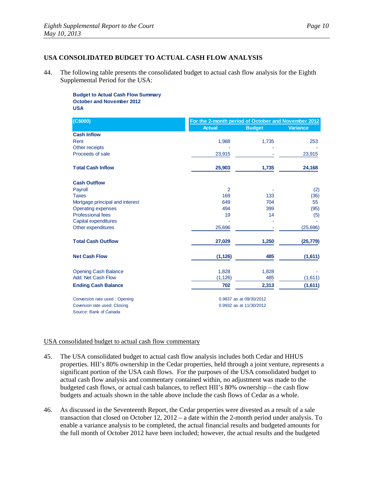# **USA CONSOLIDATED BUDGET TO ACTUAL CASH FLOW ANALYSIS**

44. The following table presents the consolidated budget to actual cash flow analysis for the Eighth Supplemental Period for the USA:

> **Budget to Actual Cash Flow Summary October and November 2012 USA**

| (C\$000)                        |                | For the 2-month period of October and November 2012 |                 |  |
|---------------------------------|----------------|-----------------------------------------------------|-----------------|--|
|                                 | <b>Actual</b>  | <b>Budget</b>                                       | <b>Variance</b> |  |
| <b>Cash Inflow</b>              |                |                                                     |                 |  |
| Rent                            | 1,988          | 1,735                                               | 253             |  |
| Other receipts                  |                |                                                     |                 |  |
| Proceeds of sale                | 23,915         |                                                     | 23,915          |  |
| <b>Total Cash Inflow</b>        | 25,903         | 1,735                                               | 24,168          |  |
| <b>Cash Outflow</b>             |                |                                                     |                 |  |
| Payroll                         | $\overline{2}$ |                                                     | (2)             |  |
| <b>Taxes</b>                    | 169            | 133                                                 | (36)            |  |
| Mortgage principal and interest | 649            | 704                                                 | 55              |  |
| <b>Operating expenses</b>       | 494            | 399                                                 | (95)            |  |
| <b>Professional fees</b>        | 19             | 14                                                  | (5)             |  |
| Capital expenditures            |                |                                                     |                 |  |
| Other expenditures              | 25,696         |                                                     | (25,696)        |  |
| <b>Total Cash Outflow</b>       | 27,029         | 1,250                                               | (25, 779)       |  |
| <b>Net Cash Flow</b>            | (1, 126)       | 485                                                 | (1,611)         |  |
| <b>Opening Cash Balance</b>     | 1,828          | 1,828                                               |                 |  |
| Add: Net Cash Flow              | (1, 126)       | 485                                                 | (1,611)         |  |
| <b>Ending Cash Balance</b>      | 702            | 2,313                                               | (1,611)         |  |
| Conversion rate used: Opening   |                | 0.9837 as at 09/30/2012                             |                 |  |
| Coversion rate used: Closing    |                | 0.9932 as at 11/30/2012                             |                 |  |
| Source: Bank of Canada          |                |                                                     |                 |  |

### USA consolidated budget to actual cash flow commentary

- 45. The USA consolidated budget to actual cash flow analysis includes both Cedar and HHUS properties. HII's 80% ownership in the Cedar properties, held through a joint venture, represents a significant portion of the USA cash flows. For the purposes of the USA consolidated budget to actual cash flow analysis and commentary contained within, no adjustment was made to the budgeted cash flows, or actual cash balances, to reflect HII's 80% ownership – the cash flow budgets and actuals shown in the table above include the cash flows of Cedar as a whole.
- 46. As discussed in the Seventeenth Report, the Cedar properties were divested as a result of a sale transaction that closed on October 12, 2012 – a date within the 2-month period under analysis. To enable a variance analysis to be completed, the actual financial results and budgeted amounts for the full month of October 2012 have been included; however, the actual results and the budgeted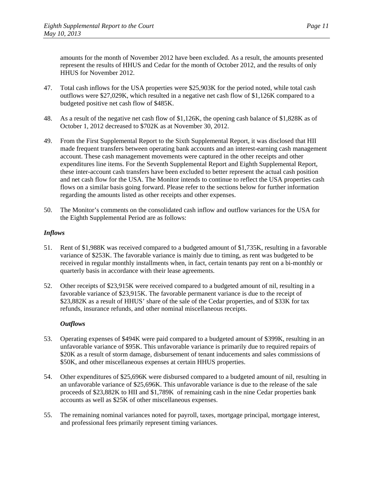amounts for the month of November 2012 have been excluded. As a result, the amounts presented represent the results of HHUS and Cedar for the month of October 2012, and the results of only HHUS for November 2012.

- 47. Total cash inflows for the USA properties were \$25,903K for the period noted, while total cash outflows were \$27,029K, which resulted in a negative net cash flow of \$1,126K compared to a budgeted positive net cash flow of \$485K.
- 48. As a result of the negative net cash flow of \$1,126K, the opening cash balance of \$1,828K as of October 1, 2012 decreased to \$702K as at November 30, 2012.
- 49. From the First Supplemental Report to the Sixth Supplemental Report, it was disclosed that HII made frequent transfers between operating bank accounts and an interest-earning cash management account. These cash management movements were captured in the other receipts and other expenditures line items. For the Seventh Supplemental Report and Eighth Supplemental Report, these inter-account cash transfers have been excluded to better represent the actual cash position and net cash flow for the USA. The Monitor intends to continue to reflect the USA properties cash flows on a similar basis going forward. Please refer to the sections below for further information regarding the amounts listed as other receipts and other expenses.
- 50. The Monitor's comments on the consolidated cash inflow and outflow variances for the USA for the Eighth Supplemental Period are as follows:

### *Inflows*

- 51. Rent of \$1,988K was received compared to a budgeted amount of \$1,735K, resulting in a favorable variance of \$253K. The favorable variance is mainly due to timing, as rent was budgeted to be received in regular monthly installments when, in fact, certain tenants pay rent on a bi-monthly or quarterly basis in accordance with their lease agreements.
- 52. Other receipts of \$23,915K were received compared to a budgeted amount of nil, resulting in a favorable variance of \$23,915K. The favorable permanent variance is due to the receipt of \$23,882K as a result of HHUS' share of the sale of the Cedar properties, and of \$33K for tax refunds, insurance refunds, and other nominal miscellaneous receipts.

- 53. Operating expenses of \$494K were paid compared to a budgeted amount of \$399K, resulting in an unfavorable variance of \$95K. This unfavorable variance is primarily due to required repairs of \$20K as a result of storm damage, disbursement of tenant inducements and sales commissions of \$50K, and other miscellaneous expenses at certain HHUS properties.
- 54. Other expenditures of \$25,696K were disbursed compared to a budgeted amount of nil, resulting in an unfavorable variance of \$25,696K. This unfavorable variance is due to the release of the sale proceeds of \$23,882K to HII and \$1,789K of remaining cash in the nine Cedar properties bank accounts as well as \$25K of other miscellaneous expenses.
- 55. The remaining nominal variances noted for payroll, taxes, mortgage principal, mortgage interest, and professional fees primarily represent timing variances.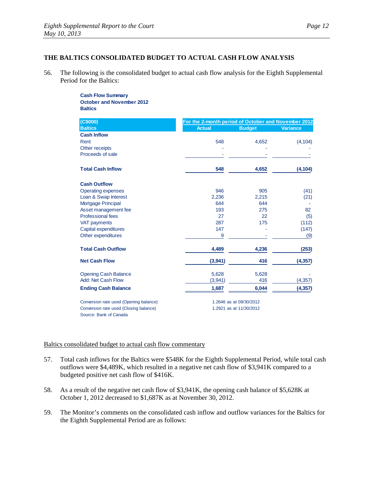# **THE BALTICS CONSOLIDATED BUDGET TO ACTUAL CASH FLOW ANALYSIS**

56. The following is the consolidated budget to actual cash flow analysis for the Eighth Supplemental Period for the Baltics:

> **Cash Flow Summary October and November 2012 Baltics**

| (C\$000)                               | For the 2-month period of October and November 2012 |                         |                 |
|----------------------------------------|-----------------------------------------------------|-------------------------|-----------------|
| <b>Baltics</b>                         | <b>Actual</b>                                       | <b>Budget</b>           | <b>Variance</b> |
| <b>Cash Inflow</b>                     |                                                     |                         |                 |
| Rent                                   | 548                                                 | 4,652                   | (4, 104)        |
| Other receipts                         |                                                     |                         |                 |
| Proceeds of sale                       |                                                     |                         |                 |
| <b>Total Cash Inflow</b>               | 548                                                 | 4,652                   | (4, 104)        |
| <b>Cash Outflow</b>                    |                                                     |                         |                 |
| <b>Operating expenses</b>              | 946                                                 | 905                     | (41)            |
| Loan & Swap Interest                   | 2,236                                               | 2,215                   | (21)            |
| Mortgage Principal                     | 644                                                 | 644                     |                 |
| Asset management fee                   | 193                                                 | 275                     | 82              |
| <b>Professional fees</b>               | 27                                                  | 22                      | (5)             |
| <b>VAT payments</b>                    | 287                                                 | 175                     | (112)           |
| Capital expenditures                   | 147                                                 |                         | (147)           |
| Other expenditures                     | 9                                                   |                         | (9)             |
| <b>Total Cash Outflow</b>              | 4,489                                               | 4,236                   | (253)           |
| <b>Net Cash Flow</b>                   | (3,941)                                             | 416                     | (4, 357)        |
| <b>Opening Cash Balance</b>            | 5,628                                               | 5,628                   |                 |
| Add: Net Cash Flow                     | (3,941)                                             | 416                     | (4, 357)        |
| <b>Ending Cash Balance</b>             | 1,687                                               | 6,044                   | (4, 357)        |
| Conversion rate used (Opening balance) |                                                     | 1.2646 as at 09/30/2012 |                 |
| Conversion rate used (Closing balance) |                                                     | 1.2921 as at 11/30/2012 |                 |

Source: Bank of Canada

# Baltics consolidated budget to actual cash flow commentary

- 57. Total cash inflows for the Baltics were \$548K for the Eighth Supplemental Period, while total cash outflows were \$4,489K, which resulted in a negative net cash flow of \$3,941K compared to a budgeted positive net cash flow of \$416K.
- 58. As a result of the negative net cash flow of \$3,941K, the opening cash balance of \$5,628K at October 1, 2012 decreased to \$1,687K as at November 30, 2012.
- 59. The Monitor's comments on the consolidated cash inflow and outflow variances for the Baltics for the Eighth Supplemental Period are as follows: